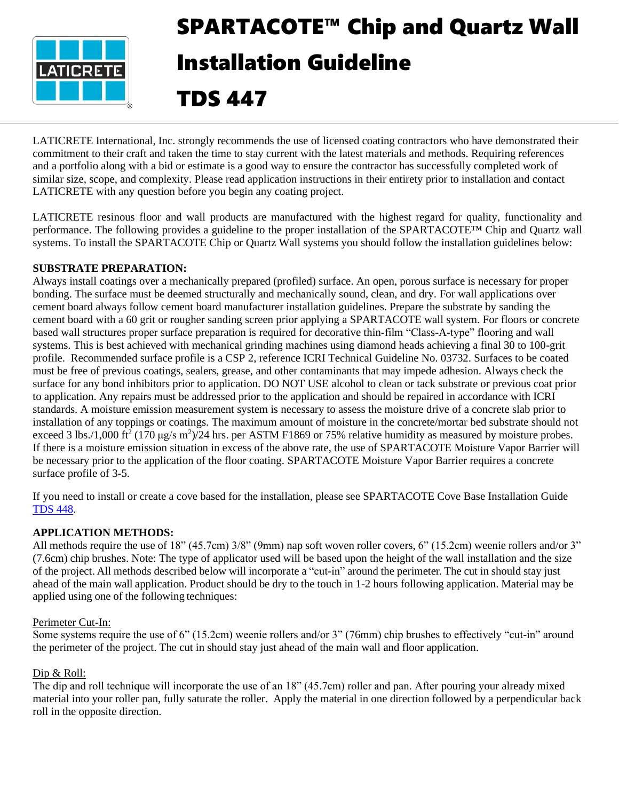

# SPARTACOTE™ Chip and Quartz Wall Installation Guideline TDS 447

LATICRETE International, Inc. strongly recommends the use of licensed coating contractors who have demonstrated their commitment to their craft and taken the time to stay current with the latest materials and methods. Requiring references and a portfolio along with a bid or estimate is a good way to ensure the contractor has successfully completed work of similar size, scope, and complexity. Please read application instructions in their entirety prior to installation and contact LATICRETE with any question before you begin any coating project.

LATICRETE resinous floor and wall products are manufactured with the highest regard for quality, functionality and performance. The following provides a guideline to the proper installation of the SPARTACOTE™ Chip and Quartz wall systems. To install the SPARTACOTE Chip or Quartz Wall systems you should follow the installation guidelines below:

## **SUBSTRATE PREPARATION:**

Always install coatings over a mechanically prepared (profiled) surface. An open, porous surface is necessary for proper bonding. The surface must be deemed structurally and mechanically sound, clean, and dry. For wall applications over cement board always follow cement board manufacturer installation guidelines. Prepare the substrate by sanding the cement board with a 60 grit or rougher sanding screen prior applying a SPARTACOTE wall system. For floors or concrete based wall structures proper surface preparation is required for decorative thin-film "Class-A-type" flooring and wall systems. This is best achieved with mechanical grinding machines using diamond heads achieving a final 30 to 100-grit profile. Recommended surface profile is a CSP 2, reference ICRI Technical Guideline No. 03732. Surfaces to be coated must be free of previous coatings, sealers, grease, and other contaminants that may impede adhesion. Always check the surface for any bond inhibitors prior to application. DO NOT USE alcohol to clean or tack substrate or previous coat prior to application. Any repairs must be addressed prior to the application and should be repaired in accordance with ICRI standards. A moisture emission measurement system is necessary to assess the moisture drive of a concrete slab prior to installation of any toppings or coatings. The maximum amount of moisture in the concrete/mortar bed substrate should not exceed 3 lbs./1,000 ft<sup>2</sup> (170  $\mu$ g/s m<sup>2</sup>)/24 hrs. per ASTM F1869 or 75% relative humidity as measured by moisture probes. If there is a moisture emission situation in excess of the above rate, the use of SPARTACOTE Moisture Vapor Barrier will be necessary prior to the application of the floor coating. SPARTACOTE Moisture Vapor Barrier requires a concrete surface profile of 3-5.

If you need to install or create a cove based for the installation, please see SPARTACOTE Cove Base Installation Guide [TDS](https://cdn.laticrete.com/~/media/support-and-downloads/technical-datasheets/tds448-spartacote-cove-base.ashx) 448.

# **APPLICATION METHODS:**

All methods require the use of 18" (45.7cm) 3/8" (9mm) nap soft woven roller covers, 6" (15.2cm) weenie rollers and/or 3" (7.6cm) chip brushes. Note: The type of applicator used will be based upon the height of the wall installation and the size of the project. All methods described below will incorporate a "cut-in" around the perimeter. The cut in should stay just ahead of the main wall application. Product should be dry to the touch in 1-2 hours following application. Material may be applied using one of the following techniques:

#### Perimeter Cut-In:

Some systems require the use of 6" (15.2cm) weenie rollers and/or 3" (76mm) chip brushes to effectively "cut-in" around the perimeter of the project. The cut in should stay just ahead of the main wall and floor application.

# Dip & Roll:

The dip and roll technique will incorporate the use of an 18" (45.7cm) roller and pan. After pouring your already mixed material into your roller pan, fully saturate the roller. Apply the material in one direction followed by a perpendicular back roll in the opposite direction.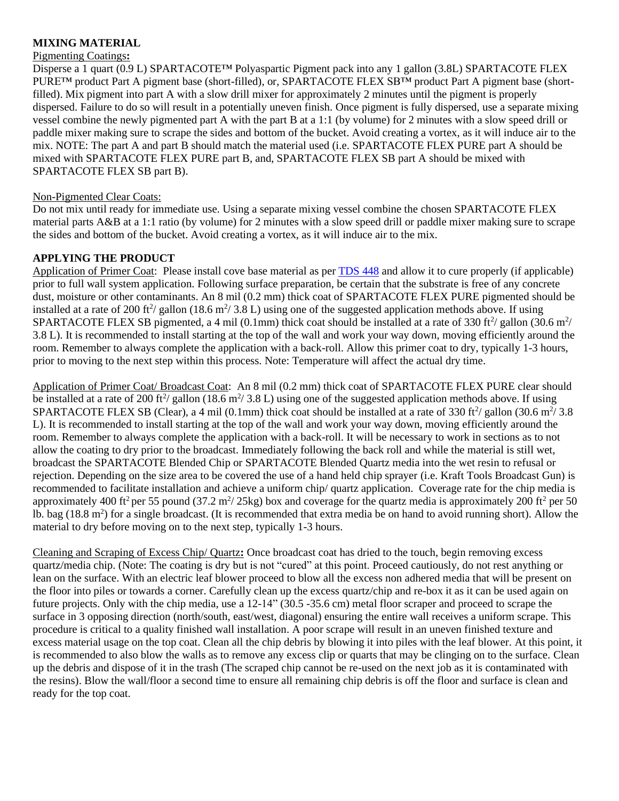# **MIXING MATERIAL**

#### Pigmenting Coatings**:**

Disperse a 1 quart (0.9 L) SPARTACOTE™ Polyaspartic Pigment pack into any 1 gallon (3.8L) SPARTACOTE FLEX PURE™ product Part A pigment base (short-filled), or, SPARTACOTE FLEX SB™ product Part A pigment base (shortfilled). Mix pigment into part A with a slow drill mixer for approximately 2 minutes until the pigment is properly dispersed. Failure to do so will result in a potentially uneven finish. Once pigment is fully dispersed, use a separate mixing vessel combine the newly pigmented part A with the part B at a 1:1 (by volume) for 2 minutes with a slow speed drill or paddle mixer making sure to scrape the sides and bottom of the bucket. Avoid creating a vortex, as it will induce air to the mix. NOTE: The part A and part B should match the material used (i.e. SPARTACOTE FLEX PURE part A should be mixed with SPARTACOTE FLEX PURE part B, and, SPARTACOTE FLEX SB part A should be mixed with SPARTACOTE FLEX SB part B).

## Non-Pigmented Clear Coats:

Do not mix until ready for immediate use. Using a separate mixing vessel combine the chosen SPARTACOTE FLEX material parts A&B at a 1:1 ratio (by volume) for 2 minutes with a slow speed drill or paddle mixer making sure to scrape the sides and bottom of the bucket. Avoid creating a vortex, as it will induce air to the mix.

## **APPLYING THE PRODUCT**

Application of Primer Coat: Please install cove base material as per [TDS 448](https://cdn.laticrete.com/~/media/support-and-downloads/technical-datasheets/tds448-spartacote-cove-base.ashx) and allow it to cure properly (if applicable) prior to full wall system application. Following surface preparation, be certain that the substrate is free of any concrete dust, moisture or other contaminants. An 8 mil (0.2 mm) thick coat of SPARTACOTE FLEX PURE pigmented should be installed at a rate of 200 ft<sup>2</sup>/ gallon (18.6 m<sup>2</sup>/ 3.8 L) using one of the suggested application methods above. If using SPARTACOTE FLEX SB pigmented, a 4 mil (0.1mm) thick coat should be installed at a rate of 330 ft $\frac{2}{3}$  gallon (30.6 m<sup>2</sup>/ 3.8 L). It is recommended to install starting at the top of the wall and work your way down, moving efficiently around the room. Remember to always complete the application with a back-roll. Allow this primer coat to dry, typically 1-3 hours, prior to moving to the next step within this process. Note: Temperature will affect the actual dry time.

Application of Primer Coat/ Broadcast Coat: An 8 mil (0.2 mm) thick coat of SPARTACOTE FLEX PURE clear should be installed at a rate of 200 ft<sup>2</sup>/ gallon (18.6 m<sup>2</sup>/ 3.8 L) using one of the suggested application methods above. If using SPARTACOTE FLEX SB (Clear), a 4 mil (0.1mm) thick coat should be installed at a rate of 330 ft<sup>2</sup>/ gallon (30.6 m<sup>2</sup>/ 3.8 L). It is recommended to install starting at the top of the wall and work your way down, moving efficiently around the room. Remember to always complete the application with a back-roll. It will be necessary to work in sections as to not allow the coating to dry prior to the broadcast. Immediately following the back roll and while the material is still wet, broadcast the SPARTACOTE Blended Chip or SPARTACOTE Blended Quartz media into the wet resin to refusal or rejection. Depending on the size area to be covered the use of a hand held chip sprayer (i.e. Kraft Tools Broadcast Gun) is recommended to facilitate installation and achieve a uniform chip/ quartz application. Coverage rate for the chip media is approximately 400 ft<sup>2</sup> per 55 pound (37.2 m<sup>2</sup>/25kg) box and coverage for the quartz media is approximately 200 ft<sup>2</sup> per 50 lb. bag (18.8 m<sup>2</sup>) for a single broadcast. (It is recommended that extra media be on hand to avoid running short). Allow the material to dry before moving on to the next step, typically 1-3 hours.

Cleaning and Scraping of Excess Chip/ Quartz**:** Once broadcast coat has dried to the touch, begin removing excess quartz/media chip. (Note: The coating is dry but is not "cured" at this point. Proceed cautiously, do not rest anything or lean on the surface. With an electric leaf blower proceed to blow all the excess non adhered media that will be present on the floor into piles or towards a corner. Carefully clean up the excess quartz/chip and re-box it as it can be used again on future projects. Only with the chip media, use a 12-14" (30.5 -35.6 cm) metal floor scraper and proceed to scrape the surface in 3 opposing direction (north/south, east/west, diagonal) ensuring the entire wall receives a uniform scrape. This procedure is critical to a quality finished wall installation. A poor scrape will result in an uneven finished texture and excess material usage on the top coat. Clean all the chip debris by blowing it into piles with the leaf blower. At this point, it is recommended to also blow the walls as to remove any excess clip or quarts that may be clinging on to the surface. Clean up the debris and dispose of it in the trash (The scraped chip cannot be re-used on the next job as it is contaminated with the resins). Blow the wall/floor a second time to ensure all remaining chip debris is off the floor and surface is clean and ready for the top coat.